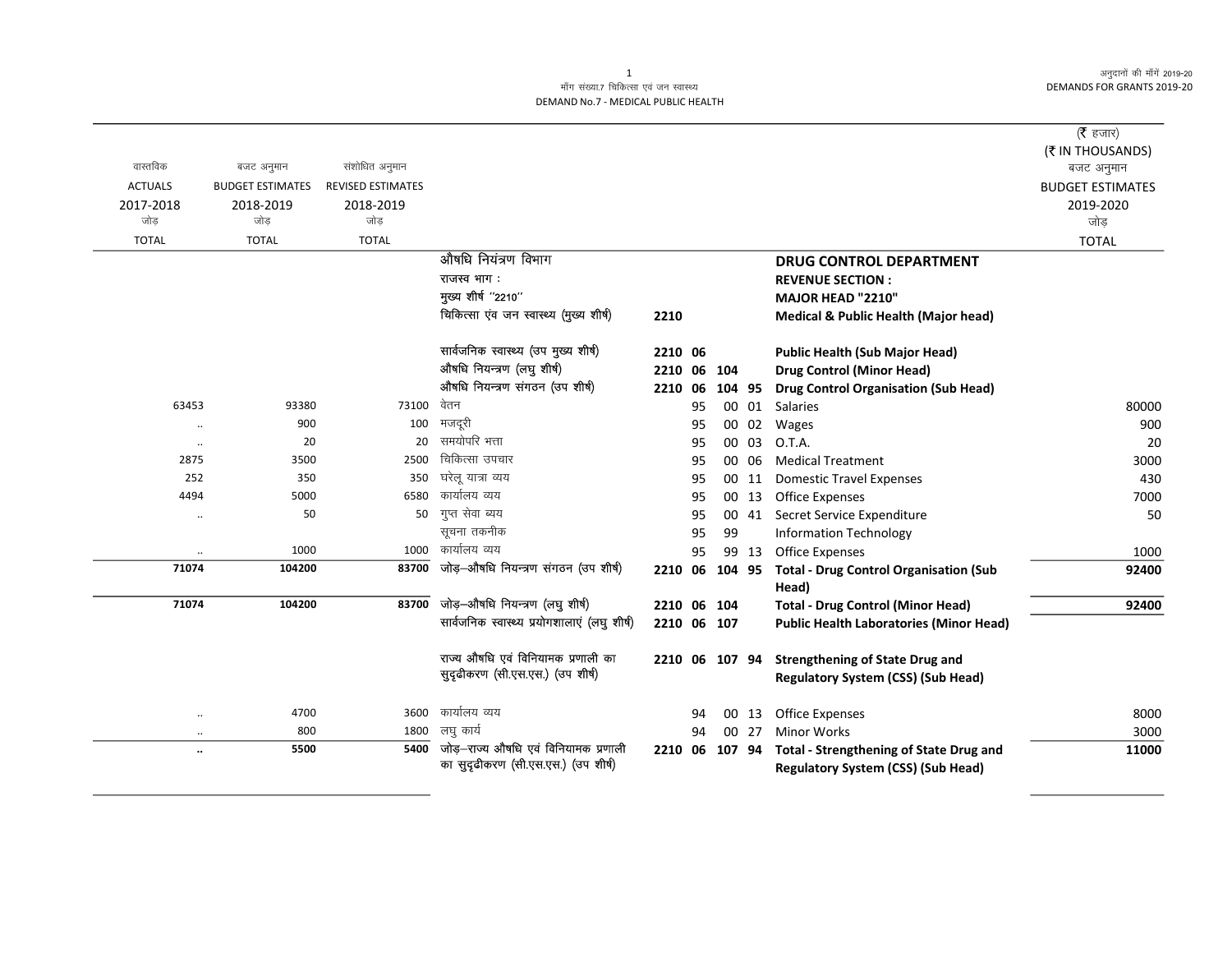अनुदानों की माँगें 2019-20 **DEMANDS FOR GRANTS 2019-20** 

## माँग संख्या.7 चिकित्सा एवं जन स्वास्थ्य DEMAND No.7 - MEDICAL PUBLIC HEALTH

|                |                         |                          |                                                                             |                |    |        |       |                                                                                             | ( $\bar{\tau}$ हजार)           |
|----------------|-------------------------|--------------------------|-----------------------------------------------------------------------------|----------------|----|--------|-------|---------------------------------------------------------------------------------------------|--------------------------------|
| वास्तविक       | बजट अनुमान              | संशोधित अनुमान           |                                                                             |                |    |        |       |                                                                                             | (₹ IN THOUSANDS)<br>बजट अनुमान |
| <b>ACTUALS</b> | <b>BUDGET ESTIMATES</b> | <b>REVISED ESTIMATES</b> |                                                                             |                |    |        |       |                                                                                             | <b>BUDGET ESTIMATES</b>        |
| 2017-2018      | 2018-2019               | 2018-2019                |                                                                             |                |    |        |       |                                                                                             | 2019-2020                      |
| जोड़           | जोड                     | जोड                      |                                                                             |                |    |        |       |                                                                                             | जोड़                           |
| <b>TOTAL</b>   | <b>TOTAL</b>            | <b>TOTAL</b>             |                                                                             |                |    |        |       |                                                                                             | <b>TOTAL</b>                   |
|                |                         |                          | औषधि नियंत्रण विभाग                                                         |                |    |        |       | <b>DRUG CONTROL DEPARTMENT</b>                                                              |                                |
|                |                         |                          | राजस्व भाग:                                                                 |                |    |        |       | <b>REVENUE SECTION:</b>                                                                     |                                |
|                |                         |                          | मुख्य शीर्ष "2210"                                                          |                |    |        |       | MAJOR HEAD "2210"                                                                           |                                |
|                |                         |                          | चिकित्सा एंव जन स्वास्थ्य (मुख्य शीर्ष)                                     | 2210           |    |        |       | <b>Medical &amp; Public Health (Major head)</b>                                             |                                |
|                |                         |                          | सार्वजनिक स्वास्थ्य (उप मुख्य शीर्ष)                                        | 2210 06        |    |        |       | <b>Public Health (Sub Major Head)</b>                                                       |                                |
|                |                         |                          | औषधि नियन्त्रण (लघु शीर्ष)                                                  | 2210           | 06 | 104    |       | <b>Drug Control (Minor Head)</b>                                                            |                                |
|                |                         |                          | औषधि नियन्त्रण संगठन (उप शीर्ष)                                             | 2210           | 06 | 104 95 |       | <b>Drug Control Organisation (Sub Head)</b>                                                 |                                |
| 63453          | 93380                   | 73100                    | वेतन                                                                        |                | 95 |        |       | 00 01 Salaries                                                                              | 80000                          |
| $\ddotsc$      | 900                     | 100                      | मजदूरी                                                                      |                | 95 |        | 00 02 | Wages                                                                                       | 900                            |
| $\cdot\cdot$   | 20                      | 20                       | समयोपरि भत्ता                                                               |                | 95 |        | 00 03 | O.T.A.                                                                                      | 20                             |
| 2875           | 3500                    | 2500                     | चिकित्सा उपचार                                                              |                | 95 |        | 00 06 | <b>Medical Treatment</b>                                                                    | 3000                           |
| 252            | 350                     | 350                      | घरेलू यात्रा व्यय                                                           |                | 95 |        | 00 11 | <b>Domestic Travel Expenses</b>                                                             | 430                            |
| 4494           | 5000                    | 6580                     | कार्यालय व्यय                                                               |                | 95 |        | 00 13 | Office Expenses                                                                             | 7000                           |
| $\cdot$ .      | 50                      | 50                       | गुप्त सेवा ब्यय                                                             |                | 95 |        | 00 41 | Secret Service Expenditure                                                                  | 50                             |
|                |                         |                          | सूचना तकनीक                                                                 |                | 95 | 99     |       | <b>Information Technology</b>                                                               |                                |
|                | 1000                    |                          | 1000 कार्यालय व्यय                                                          |                | 95 |        | 99 13 | <b>Office Expenses</b>                                                                      | 1000                           |
| 71074          | 104200                  | 83700                    | जोड़-औषधि नियन्त्रण संगठन (उप शीर्ष)                                        | 2210 06 104 95 |    |        |       | <b>Total - Drug Control Organisation (Sub</b><br>Head)                                      | 92400                          |
| 71074          | 104200                  | 83700                    | जोड़-औषधि नियन्त्रण (लघु शीर्ष)                                             | 2210 06 104    |    |        |       | <b>Total - Drug Control (Minor Head)</b>                                                    | 92400                          |
|                |                         |                          | सार्वजनिक स्वास्थ्य प्रयोगशालाएं (लघु शीर्ष)                                | 2210 06 107    |    |        |       | <b>Public Health Laboratories (Minor Head)</b>                                              |                                |
|                |                         |                          | राज्य औषधि एवं विनियामक प्रणाली का                                          | 2210 06 107 94 |    |        |       | <b>Strengthening of State Drug and</b>                                                      |                                |
|                |                         |                          | सुदृढीकरण (सी.एस.एस.) (उप शीर्ष)                                            |                |    |        |       | <b>Regulatory System (CSS) (Sub Head)</b>                                                   |                                |
| $\ddotsc$      | 4700                    | 3600                     | कार्यालय व्यय                                                               |                | 94 |        | 00 13 | <b>Office Expenses</b>                                                                      | 8000                           |
| $\ddotsc$      | 800                     | 1800                     | लघु कार्य                                                                   |                | 94 |        | 00 27 | <b>Minor Works</b>                                                                          | 3000                           |
| $\ddotsc$      | 5500                    | 5400                     | जोड़—राज्य औषधि एवं विनियामक प्रणाली<br>का सुदृढीकरण (सी.एस.एस.) (उप शीर्ष) | 2210 06 107 94 |    |        |       | <b>Total - Strengthening of State Drug and</b><br><b>Regulatory System (CSS) (Sub Head)</b> | 11000                          |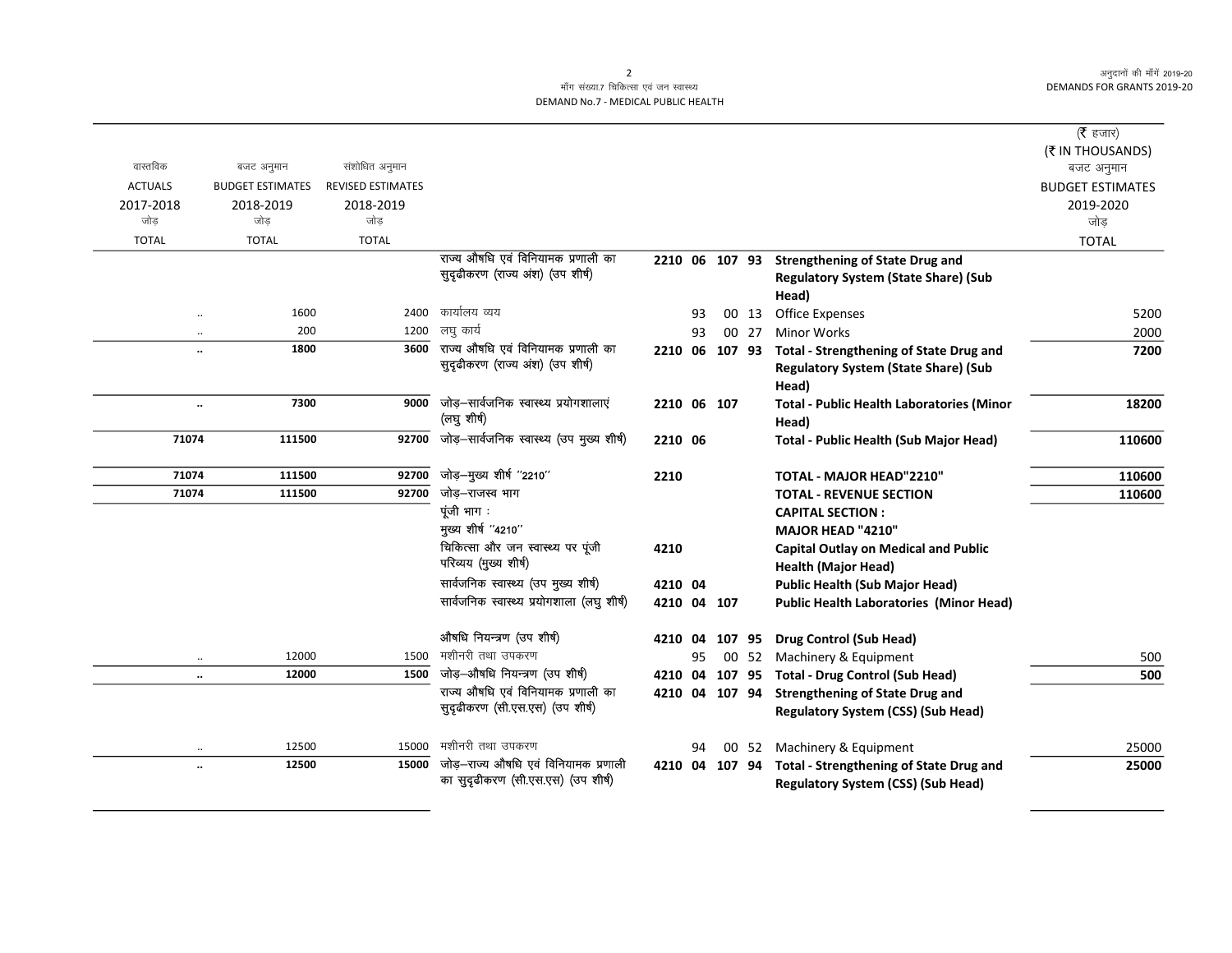अनुदानों की माँगें 2019-20 DEMANDS FOR GRANTS 2019-20

## माँग संख्या.7 चिकित्सा एवं जन स्वास्थ्य DEMAND No.7 - MEDICAL PUBLIC HEALTH

|                      |                         |                          |                                                            |                |    |        |       |                                                           | ( $\bar{\tau}$ हजार)<br>(₹ IN THOUSANDS) |
|----------------------|-------------------------|--------------------------|------------------------------------------------------------|----------------|----|--------|-------|-----------------------------------------------------------|------------------------------------------|
| वास्तविक             | बजट अनुमान              | संशोधित अनुमान           |                                                            |                |    |        |       |                                                           | बजट अनुमान                               |
| <b>ACTUALS</b>       | <b>BUDGET ESTIMATES</b> | <b>REVISED ESTIMATES</b> |                                                            |                |    |        |       |                                                           | <b>BUDGET ESTIMATES</b>                  |
| 2017-2018            | 2018-2019               | 2018-2019                |                                                            |                |    |        |       |                                                           | 2019-2020                                |
| जोड                  | जोड                     | जोड                      |                                                            |                |    |        |       |                                                           | जोड़                                     |
| <b>TOTAL</b>         | <b>TOTAL</b>            | <b>TOTAL</b>             |                                                            |                |    |        |       |                                                           | <b>TOTAL</b>                             |
|                      |                         |                          | राज्य औषधि एवं विनियामक प्रणाली का                         |                |    |        |       | 2210 06 107 93 Strengthening of State Drug and            |                                          |
|                      |                         |                          | सुदृढीकरण (राज्य अंश) (उप शीर्ष)                           |                |    |        |       | <b>Regulatory System (State Share) (Sub</b>               |                                          |
|                      |                         |                          |                                                            |                |    |        |       | Head)                                                     |                                          |
| $\ddot{\phantom{a}}$ | 1600                    | 2400                     | कार्यालय व्यय                                              |                | 93 |        | 00 13 | Office Expenses                                           | 5200                                     |
| $\ddotsc$            | 200                     | 1200                     | लघु कार्य                                                  |                | 93 |        | 00 27 | <b>Minor Works</b>                                        | 2000                                     |
| $\ddot{\phantom{a}}$ | 1800                    | 3600                     | राज्य औषधि एवं विनियामक प्रणाली का                         | 2210 06 107 93 |    |        |       | <b>Total - Strengthening of State Drug and</b>            | 7200                                     |
|                      |                         |                          | सुदृढीकरण (राज्य अंश) (उप शीर्ष)                           |                |    |        |       | <b>Regulatory System (State Share) (Sub</b><br>Head)      |                                          |
| $\ldots$             | 7300                    | 9000                     | जोड़–सार्वजनिक स्वास्थ्य प्रयोगशालाएं<br>(लघु शीर्ष)       | 2210 06 107    |    |        |       | <b>Total - Public Health Laboratories (Minor</b><br>Head) | 18200                                    |
| 71074                | 111500                  | 92700                    | जोड़-सार्वजनिक स्वास्थ्य (उप मुख्य शीर्ष)                  | 2210 06        |    |        |       | Total - Public Health (Sub Major Head)                    | 110600                                   |
| 71074                | 111500                  | 92700                    | जोड़-मुख्य शीर्ष "2210"                                    | 2210           |    |        |       | TOTAL - MAJOR HEAD"2210"                                  | 110600                                   |
| 71074                | 111500                  | 92700                    | जोड़–राजस्व भाग                                            |                |    |        |       | <b>TOTAL - REVENUE SECTION</b>                            | 110600                                   |
|                      |                         |                          | पूंजी भाग :                                                |                |    |        |       | <b>CAPITAL SECTION:</b>                                   |                                          |
|                      |                         |                          | मुख्य शीर्ष "4210"                                         |                |    |        |       | MAJOR HEAD "4210"                                         |                                          |
|                      |                         |                          | चिकित्सा और जन स्वास्थ्य पर पूंजी<br>परिव्यय (मुख्य शीर्ष) | 4210           |    |        |       | <b>Capital Outlay on Medical and Public</b>               |                                          |
|                      |                         |                          | सार्वजनिक स्वास्थ्य (उप मुख्य शीर्ष)                       |                |    |        |       | <b>Health (Major Head)</b>                                |                                          |
|                      |                         |                          | सार्वजनिक स्वास्थ्य प्रयोगशाला (लघु शीर्ष)                 | 4210 04        |    |        |       | <b>Public Health (Sub Major Head)</b>                     |                                          |
|                      |                         |                          |                                                            | 4210 04 107    |    |        |       | <b>Public Health Laboratories (Minor Head)</b>            |                                          |
|                      |                         |                          | औषधि नियन्त्रण (उप शीर्ष)                                  | 4210 04        |    | 107 95 |       | <b>Drug Control (Sub Head)</b>                            |                                          |
| $\ddotsc$            | 12000                   | 1500                     | मशीनरी तथा उपकरण                                           |                | 95 |        | 00 52 | Machinery & Equipment                                     | 500                                      |
| $\ddot{\phantom{a}}$ | 12000                   | 1500                     | जोड़-औषधि नियन्त्रण (उप शीर्ष)                             | 4210 04        |    |        |       | 107 95 Total - Drug Control (Sub Head)                    | 500                                      |
|                      |                         |                          | राज्य औषधि एवं विनियामक प्रणाली का                         | 4210 04 107 94 |    |        |       | <b>Strengthening of State Drug and</b>                    |                                          |
|                      |                         |                          | सुदृढीकरण (सी.एस.एस) (उप शीर्ष)                            |                |    |        |       | <b>Regulatory System (CSS) (Sub Head)</b>                 |                                          |
| $\cdot$ .            | 12500                   | 15000                    | मशीनरी तथा उपकरण                                           |                | 94 |        | 00 52 | Machinery & Equipment                                     | 25000                                    |
| $\ddot{\phantom{a}}$ | 12500                   | 15000                    | जोड़—राज्य औषधि एवं विनियामक प्रणाली                       | 4210 04        |    | 107 94 |       | <b>Total - Strengthening of State Drug and</b>            | 25000                                    |
|                      |                         |                          | का सुदृढीकरण (सी.एस.एस) (उप शीर्ष)                         |                |    |        |       | <b>Regulatory System (CSS) (Sub Head)</b>                 |                                          |

2